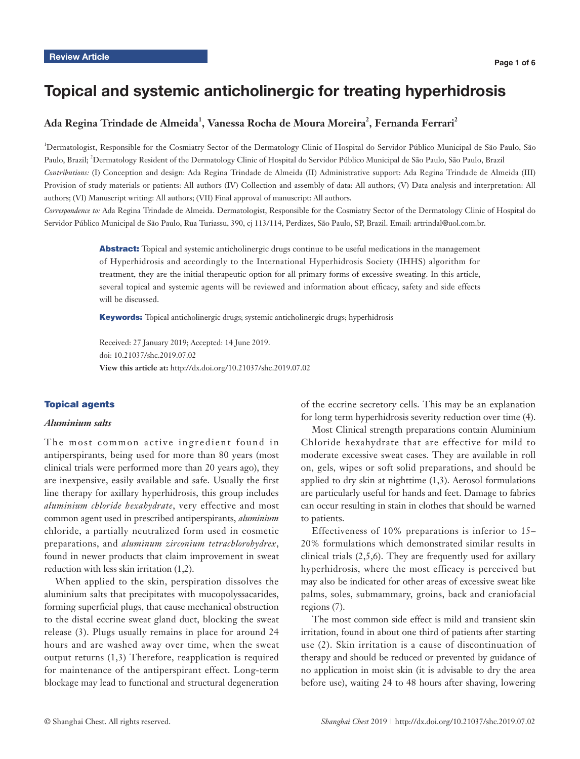# Topical and systemic anticholinergic for treating hyperhidrosis

# Ada Regina Trindade de Almeida<sup>1</sup>, Vanessa Rocha de Moura Moreira<sup>2</sup>, Fernanda Ferrari<sup>2</sup>

1 Dermatologist, Responsible for the Cosmiatry Sector of the Dermatology Clinic of Hospital do Servidor Público Municipal de São Paulo, São Paulo, Brazil; <sup>2</sup>Dermatology Resident of the Dermatology Clinic of Hospital do Servidor Público Municipal de São Paulo, São Paulo, Brazil *Contributions:* (I) Conception and design: Ada Regina Trindade de Almeida (II) Administrative support: Ada Regina Trindade de Almeida (III) Provision of study materials or patients: All authors (IV) Collection and assembly of data: All authors; (V) Data analysis and interpretation: All authors; (VI) Manuscript writing: All authors; (VII) Final approval of manuscript: All authors.

*Correspondence to:* Ada Regina Trindade de Almeida. Dermatologist, Responsible for the Cosmiatry Sector of the Dermatology Clinic of Hospital do Servidor Público Municipal de São Paulo, Rua Turiassu, 390, cj 113/114, Perdizes, São Paulo, SP, Brazil. Email: artrindal@uol.com.br.

> Abstract: Topical and systemic anticholinergic drugs continue to be useful medications in the management of Hyperhidrosis and accordingly to the International Hyperhidrosis Society (IHHS) algorithm for treatment, they are the initial therapeutic option for all primary forms of excessive sweating. In this article, several topical and systemic agents will be reviewed and information about efficacy, safety and side effects will be discussed.

Keywords: Topical anticholinergic drugs; systemic anticholinergic drugs; hyperhidrosis

Received: 27 January 2019; Accepted: 14 June 2019. doi: 10.21037/shc.2019.07.02 **View this article at:** http://dx.doi.org/10.21037/shc.2019.07.02

### Topical agents

#### *Aluminium salts*

The most common active ingredient found in antiperspirants, being used for more than 80 years (most clinical trials were performed more than 20 years ago), they are inexpensive, easily available and safe. Usually the first line therapy for axillary hyperhidrosis, this group includes *aluminium chloride hexahydrate*, very effective and most common agent used in prescribed antiperspirants, *aluminium* chloride, a partially neutralized form used in cosmetic preparations, and *aluminum zirconium tetrachlorohydrex*, found in newer products that claim improvement in sweat reduction with less skin irritation (1,2).

When applied to the skin, perspiration dissolves the aluminium salts that precipitates with mucopolyssacarides, forming superficial plugs, that cause mechanical obstruction to the distal eccrine sweat gland duct, blocking the sweat release (3). Plugs usually remains in place for around 24 hours and are washed away over time, when the sweat output returns (1,3) Therefore, reapplication is required for maintenance of the antiperspirant effect. Long-term blockage may lead to functional and structural degeneration

of the eccrine secretory cells. This may be an explanation for long term hyperhidrosis severity reduction over time (4).

Most Clinical strength preparations contain Aluminium Chloride hexahydrate that are effective for mild to moderate excessive sweat cases. They are available in roll on, gels, wipes or soft solid preparations, and should be applied to dry skin at nighttime (1,3). Aerosol formulations are particularly useful for hands and feet. Damage to fabrics can occur resulting in stain in clothes that should be warned to patients.

Effectiveness of 10% preparations is inferior to 15– 20% formulations which demonstrated similar results in clinical trials  $(2,5,6)$ . They are frequently used for axillary hyperhidrosis, where the most efficacy is perceived but may also be indicated for other areas of excessive sweat like palms, soles, submammary, groins, back and craniofacial regions (7).

The most common side effect is mild and transient skin irritation, found in about one third of patients after starting use (2). Skin irritation is a cause of discontinuation of therapy and should be reduced or prevented by guidance of no application in moist skin (it is advisable to dry the area before use), waiting 24 to 48 hours after shaving, lowering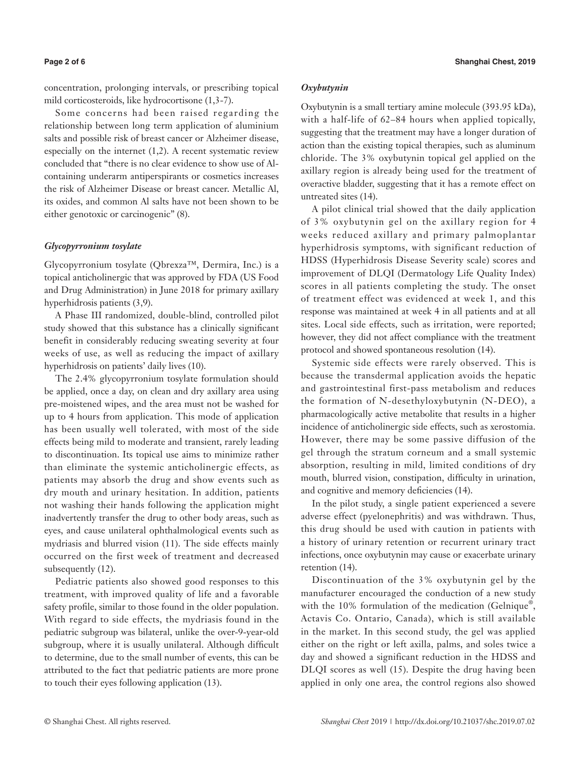concentration, prolonging intervals, or prescribing topical mild corticosteroids, like hydrocortisone (1,3-7).

Some concerns had been raised regarding the relationship between long term application of aluminium salts and possible risk of breast cancer or Alzheimer disease, especially on the internet (1,2). A recent systematic review concluded that "there is no clear evidence to show use of Alcontaining underarm antiperspirants or cosmetics increases the risk of Alzheimer Disease or breast cancer. Metallic Al, its oxides, and common Al salts have not been shown to be either genotoxic or carcinogenic" (8).

# *Glycopyrronium tosylate*

Glycopyrronium tosylate (Qbrexza™, Dermira, Inc.) is a topical anticholinergic that was approved by FDA (US Food and Drug Administration) in June 2018 for primary axillary hyperhidrosis patients (3,9).

A Phase III randomized, double-blind, controlled pilot study showed that this substance has a clinically significant benefit in considerably reducing sweating severity at four weeks of use, as well as reducing the impact of axillary hyperhidrosis on patients' daily lives (10).

The 2.4% glycopyrronium tosylate formulation should be applied, once a day, on clean and dry axillary area using pre-moistened wipes, and the area must not be washed for up to 4 hours from application. This mode of application has been usually well tolerated, with most of the side effects being mild to moderate and transient, rarely leading to discontinuation. Its topical use aims to minimize rather than eliminate the systemic anticholinergic effects, as patients may absorb the drug and show events such as dry mouth and urinary hesitation. In addition, patients not washing their hands following the application might inadvertently transfer the drug to other body areas, such as eyes, and cause unilateral ophthalmological events such as mydriasis and blurred vision (11). The side effects mainly occurred on the first week of treatment and decreased subsequently (12).

Pediatric patients also showed good responses to this treatment, with improved quality of life and a favorable safety profile, similar to those found in the older population. With regard to side effects, the mydriasis found in the pediatric subgroup was bilateral, unlike the over-9-year-old subgroup, where it is usually unilateral. Although difficult to determine, due to the small number of events, this can be attributed to the fact that pediatric patients are more prone to touch their eyes following application (13).

#### *Oxybutynin*

Oxybutynin is a small tertiary amine molecule (393.95 kDa), with a half-life of 62–84 hours when applied topically, suggesting that the treatment may have a longer duration of action than the existing topical therapies, such as aluminum chloride. The 3% oxybutynin topical gel applied on the axillary region is already being used for the treatment of overactive bladder, suggesting that it has a remote effect on untreated sites (14).

A pilot clinical trial showed that the daily application of 3% oxybutynin gel on the axillary region for 4 weeks reduced axillary and primary palmoplantar hyperhidrosis symptoms, with significant reduction of HDSS (Hyperhidrosis Disease Severity scale) scores and improvement of DLQI (Dermatology Life Quality Index) scores in all patients completing the study. The onset of treatment effect was evidenced at week 1, and this response was maintained at week 4 in all patients and at all sites. Local side effects, such as irritation, were reported; however, they did not affect compliance with the treatment protocol and showed spontaneous resolution (14).

Systemic side effects were rarely observed. This is because the transdermal application avoids the hepatic and gastrointestinal first-pass metabolism and reduces the formation of N-desethyloxybutynin (N-DEO), a pharmacologically active metabolite that results in a higher incidence of anticholinergic side effects, such as xerostomia. However, there may be some passive diffusion of the gel through the stratum corneum and a small systemic absorption, resulting in mild, limited conditions of dry mouth, blurred vision, constipation, difficulty in urination, and cognitive and memory deficiencies (14).

In the pilot study, a single patient experienced a severe adverse effect (pyelonephritis) and was withdrawn. Thus, this drug should be used with caution in patients with a history of urinary retention or recurrent urinary tract infections, once oxybutynin may cause or exacerbate urinary retention (14).

Discontinuation of the 3% oxybutynin gel by the manufacturer encouraged the conduction of a new study with the 10% formulation of the medication (Gelnique<sup>®</sup>, Actavis Co. Ontario, Canada), which is still available in the market. In this second study, the gel was applied either on the right or left axilla, palms, and soles twice a day and showed a significant reduction in the HDSS and DLQI scores as well (15). Despite the drug having been applied in only one area, the control regions also showed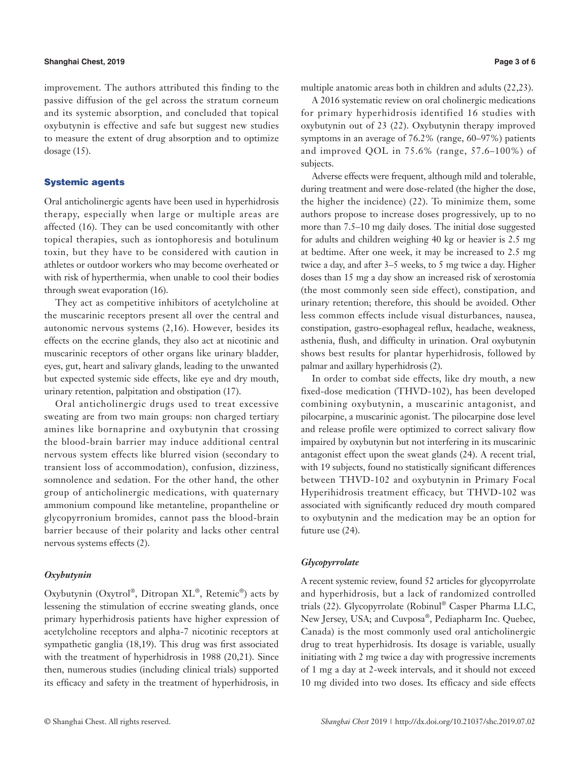#### **Shanghai Chest, 2019 Page 3 of 6**

improvement. The authors attributed this finding to the passive diffusion of the gel across the stratum corneum and its systemic absorption, and concluded that topical oxybutynin is effective and safe but suggest new studies to measure the extent of drug absorption and to optimize dosage (15).

### Systemic agents

Oral anticholinergic agents have been used in hyperhidrosis therapy, especially when large or multiple areas are affected (16). They can be used concomitantly with other topical therapies, such as iontophoresis and botulinum toxin, but they have to be considered with caution in athletes or outdoor workers who may become overheated or with risk of hyperthermia, when unable to cool their bodies through sweat evaporation (16).

They act as competitive inhibitors of acetylcholine at the muscarinic receptors present all over the central and autonomic nervous systems (2,16). However, besides its effects on the eccrine glands, they also act at nicotinic and muscarinic receptors of other organs like urinary bladder, eyes, gut, heart and salivary glands, leading to the unwanted but expected systemic side effects, like eye and dry mouth, urinary retention, palpitation and obstipation (17).

Oral anticholinergic drugs used to treat excessive sweating are from two main groups: non charged tertiary amines like bornaprine and oxybutynin that crossing the blood-brain barrier may induce additional central nervous system effects like blurred vision (secondary to transient loss of accommodation), confusion, dizziness, somnolence and sedation. For the other hand, the other group of anticholinergic medications, with quaternary ammonium compound like metanteline, propantheline or glycopyrronium bromides, cannot pass the blood-brain barrier because of their polarity and lacks other central nervous systems effects (2).

### *Oxybutynin*

Oxybutynin (Oxytrol®, Ditropan XL®, Retemic®) acts by lessening the stimulation of eccrine sweating glands, once primary hyperhidrosis patients have higher expression of acetylcholine receptors and alpha-7 nicotinic receptors at sympathetic ganglia (18,19). This drug was first associated with the treatment of hyperhidrosis in 1988 (20,21). Since then, numerous studies (including clinical trials) supported its efficacy and safety in the treatment of hyperhidrosis, in multiple anatomic areas both in children and adults (22,23).

A 2016 systematic review on oral cholinergic medications for primary hyperhidrosis identified 16 studies with oxybutynin out of 23 (22). Oxybutynin therapy improved symptoms in an average of 76.2% (range, 60–97%) patients and improved QOL in 75.6% (range, 57.6–100%) of subjects.

Adverse effects were frequent, although mild and tolerable, during treatment and were dose-related (the higher the dose, the higher the incidence) (22). To minimize them, some authors propose to increase doses progressively, up to no more than 7.5–10 mg daily doses. The initial dose suggested for adults and children weighing 40 kg or heavier is 2.5 mg at bedtime. After one week, it may be increased to 2.5 mg twice a day, and after 3–5 weeks, to 5 mg twice a day. Higher doses than 15 mg a day show an increased risk of xerostomia (the most commonly seen side effect), constipation, and urinary retention; therefore, this should be avoided. Other less common effects include visual disturbances, nausea, constipation, gastro-esophageal reflux, headache, weakness, asthenia, flush, and difficulty in urination. Oral oxybutynin shows best results for plantar hyperhidrosis, followed by palmar and axillary hyperhidrosis (2).

In order to combat side effects, like dry mouth, a new fixed-dose medication (THVD-102), has been developed combining oxybutynin, a muscarinic antagonist, and pilocarpine, a muscarinic agonist. The pilocarpine dose level and release profile were optimized to correct salivary flow impaired by oxybutynin but not interfering in its muscarinic antagonist effect upon the sweat glands (24). A recent trial, with 19 subjects, found no statistically significant differences between THVD-102 and oxybutynin in Primary Focal Hyperihidrosis treatment efficacy, but THVD-102 was associated with significantly reduced dry mouth compared to oxybutynin and the medication may be an option for future use (24).

#### *Glycopyrrolate*

A recent systemic review, found 52 articles for glycopyrrolate and hyperhidrosis, but a lack of randomized controlled trials (22). Glycopyrrolate (Robinul® Casper Pharma LLC, New Jersey, USA; and Cuvposa®, Pediapharm Inc. Quebec, Canada) is the most commonly used oral anticholinergic drug to treat hyperhidrosis. Its dosage is variable, usually initiating with 2 mg twice a day with progressive increments of 1 mg a day at 2-week intervals, and it should not exceed 10 mg divided into two doses. Its efficacy and side effects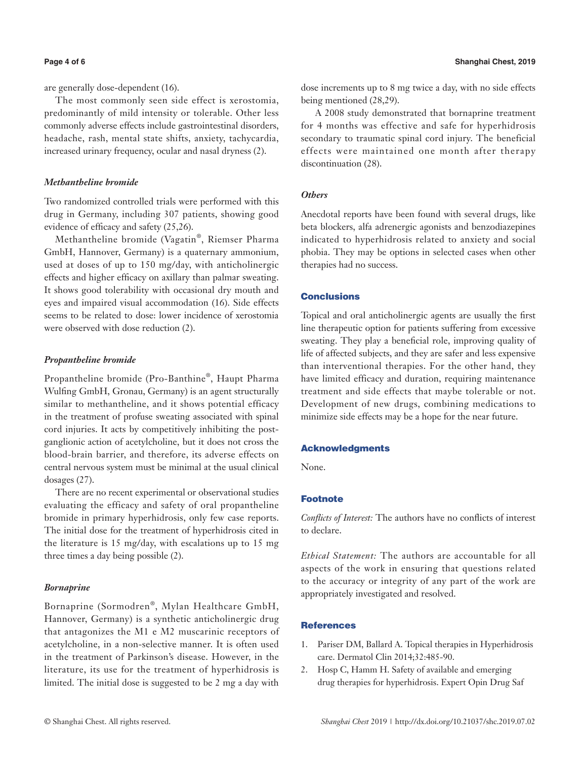are generally dose-dependent (16).

The most commonly seen side effect is xerostomia, predominantly of mild intensity or tolerable. Other less commonly adverse effects include gastrointestinal disorders, headache, rash, mental state shifts, anxiety, tachycardia, increased urinary frequency, ocular and nasal dryness (2).

#### *Methantheline bromide*

Two randomized controlled trials were performed with this drug in Germany, including 307 patients, showing good evidence of efficacy and safety (25,26).

Methantheline bromide (Vagatin®, Riemser Pharma GmbH, Hannover, Germany) is a quaternary ammonium, used at doses of up to 150 mg/day, with anticholinergic effects and higher efficacy on axillary than palmar sweating. It shows good tolerability with occasional dry mouth and eyes and impaired visual accommodation (16). Side effects seems to be related to dose: lower incidence of xerostomia were observed with dose reduction (2).

#### *Propantheline bromide*

Propantheline bromide (Pro-Banthine®, Haupt Pharma Wulfing GmbH, Gronau, Germany) is an agent structurally similar to methantheline, and it shows potential efficacy in the treatment of profuse sweating associated with spinal cord injuries. It acts by competitively inhibiting the postganglionic action of acetylcholine, but it does not cross the blood-brain barrier, and therefore, its adverse effects on central nervous system must be minimal at the usual clinical dosages (27).

There are no recent experimental or observational studies evaluating the efficacy and safety of oral propantheline bromide in primary hyperhidrosis, only few case reports. The initial dose for the treatment of hyperhidrosis cited in the literature is 15 mg/day, with escalations up to 15 mg three times a day being possible (2).

#### *Bornaprine*

Bornaprine (Sormodren®, Mylan Healthcare GmbH, Hannover, Germany) is a synthetic anticholinergic drug that antagonizes the M1 e M2 muscarinic receptors of acetylcholine, in a non-selective manner. It is often used in the treatment of Parkinson's disease. However, in the literature, its use for the treatment of hyperhidrosis is limited. The initial dose is suggested to be 2 mg a day with

dose increments up to 8 mg twice a day, with no side effects being mentioned (28,29).

 A 2008 study demonstrated that bornaprine treatment for 4 months was effective and safe for hyperhidrosis secondary to traumatic spinal cord injury. The beneficial effects were maintained one month after therapy discontinuation (28).

# *Others*

Anecdotal reports have been found with several drugs, like beta blockers, alfa adrenergic agonists and benzodiazepines indicated to hyperhidrosis related to anxiety and social phobia. They may be options in selected cases when other therapies had no success.

#### Conclusions

Topical and oral anticholinergic agents are usually the first line therapeutic option for patients suffering from excessive sweating. They play a beneficial role, improving quality of life of affected subjects, and they are safer and less expensive than interventional therapies. For the other hand, they have limited efficacy and duration, requiring maintenance treatment and side effects that maybe tolerable or not. Development of new drugs, combining medications to minimize side effects may be a hope for the near future.

#### Acknowledgments

None.

# Footnote

*Conflicts of Interest:* The authors have no conflicts of interest to declare.

*Ethical Statement:* The authors are accountable for all aspects of the work in ensuring that questions related to the accuracy or integrity of any part of the work are appropriately investigated and resolved.

### **References**

- 1. Pariser DM, Ballard A. Topical therapies in Hyperhidrosis care. Dermatol Clin 2014;32:485-90.
- 2. Hosp C, Hamm H. Safety of available and emerging drug therapies for hyperhidrosis. Expert Opin Drug Saf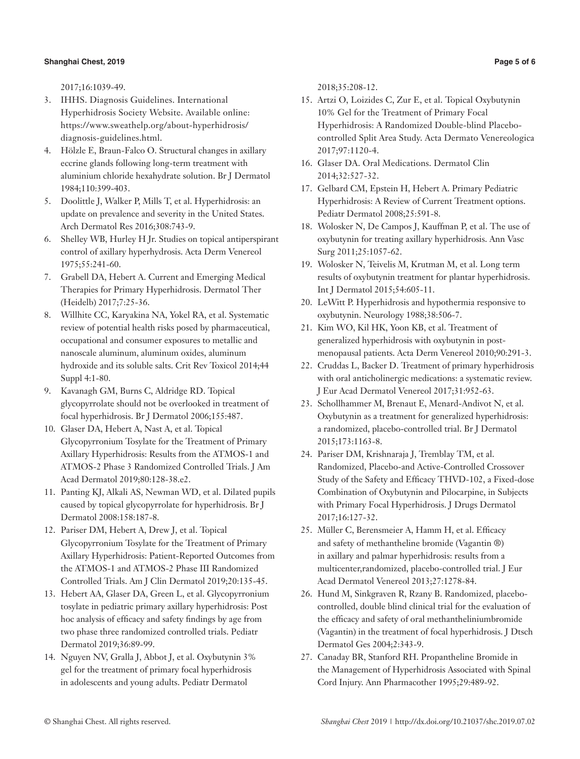#### **Shanghai Chest, 2019 Page 5 of 6**

2017;16:1039-49.

- 3. IHHS. Diagnosis Guidelines. International Hyperhidrosis Society Website. Available online: https://www.sweathelp.org/about-hyperhidrosis/ diagnosis-guidelines.html.
- 4. Hölzle E, Braun-Falco O. Structural changes in axillary eccrine glands following long-term treatment with aluminium chloride hexahydrate solution. Br J Dermatol 1984;110:399-403.
- 5. Doolittle J, Walker P, Mills T, et al. Hyperhidrosis: an update on prevalence and severity in the United States. Arch Dermatol Res 2016;308:743-9.
- 6. Shelley WB, Hurley H Jr. Studies on topical antiperspirant control of axillary hyperhydrosis. Acta Derm Venereol 1975;55:241-60.
- 7. Grabell DA, Hebert A. Current and Emerging Medical Therapies for Primary Hyperhidrosis. Dermatol Ther (Heidelb) 2017;7:25-36.
- 8. Willhite CC, Karyakina NA, Yokel RA, et al. Systematic review of potential health risks posed by pharmaceutical, occupational and consumer exposures to metallic and nanoscale aluminum, aluminum oxides, aluminum hydroxide and its soluble salts. Crit Rev Toxicol 2014;44 Suppl 4:1-80.
- 9. Kavanagh GM, Burns C, Aldridge RD. Topical glycopyrrolate should not be overlooked in treatment of focal hyperhidrosis. Br J Dermatol 2006;155:487.
- 10. Glaser DA, Hebert A, Nast A, et al. Topical Glycopyrronium Tosylate for the Treatment of Primary Axillary Hyperhidrosis: Results from the ATMOS-1 and ATMOS-2 Phase 3 Randomized Controlled Trials. J Am Acad Dermatol 2019;80:128-38.e2.
- 11. Panting KJ, Alkali AS, Newman WD, et al. Dilated pupils caused by topical glycopyrrolate for hyperhidrosis. Br J Dermatol 2008:158:187-8.
- 12. Pariser DM, Hebert A, Drew J, et al. Topical Glycopyrronium Tosylate for the Treatment of Primary Axillary Hyperhidrosis: Patient-Reported Outcomes from the ATMOS-1 and ATMOS-2 Phase III Randomized Controlled Trials. Am J Clin Dermatol 2019;20:135-45.
- 13. Hebert AA, Glaser DA, Green L, et al. Glycopyrronium tosylate in pediatric primary axillary hyperhidrosis: Post hoc analysis of efficacy and safety findings by age from two phase three randomized controlled trials. Pediatr Dermatol 2019;36:89-99.
- 14. Nguyen NV, Gralla J, Abbot J, et al. Oxybutynin 3% gel for the treatment of primary focal hyperhidrosis in adolescents and young adults. Pediatr Dermatol

2018;35:208-12.

- 15. Artzi O, Loizides C, Zur E, et al. Topical Oxybutynin 10% Gel for the Treatment of Primary Focal Hyperhidrosis: A Randomized Double-blind Placebocontrolled Split Area Study. Acta Dermato Venereologica 2017;97:1120-4.
- 16. Glaser DA. Oral Medications. Dermatol Clin 2014;32:527-32.
- 17. Gelbard CM, Epstein H, Hebert A. Primary Pediatric Hyperhidrosis: A Review of Current Treatment options. Pediatr Dermatol 2008;25:591-8.
- 18. Wolosker N, De Campos J, Kauffman P, et al. The use of oxybutynin for treating axillary hyperhidrosis. Ann Vasc Surg 2011;25:1057-62.
- 19. Wolosker N, Teivelis M, Krutman M, et al. Long term results of oxybutynin treatment for plantar hyperhidrosis. Int J Dermatol 2015;54:605-11.
- 20. LeWitt P. Hyperhidrosis and hypothermia responsive to oxybutynin. Neurology 1988;38:506-7.
- 21. Kim WO, Kil HK, Yoon KB, et al. Treatment of generalized hyperhidrosis with oxybutynin in postmenopausal patients. Acta Derm Venereol 2010;90:291-3.
- 22. Cruddas L, Backer D. Treatment of primary hyperhidrosis with oral anticholinergic medications: a systematic review. J Eur Acad Dermatol Venereol 2017;31:952-63.
- 23. Schollhammer M, Brenaut E, Menard-Andivot N, et al. Oxybutynin as a treatment for generalized hyperhidrosis: a randomized, placebo-controlled trial. Br J Dermatol 2015;173:1163-8.
- 24. Pariser DM, Krishnaraja J, Tremblay TM, et al. Randomized, Placebo-and Active-Controlled Crossover Study of the Safety and Efficacy THVD-102, a Fixed-dose Combination of Oxybutynin and Pilocarpine, in Subjects with Primary Focal Hyperhidrosis. J Drugs Dermatol 2017;16:127-32.
- 25. Müller C, Berensmeier A, Hamm H, et al. Efficacy and safety of methantheline bromide (Vagantin ®) in axillary and palmar hyperhidrosis: results from a multicenter,randomized, placebo-controlled trial. J Eur Acad Dermatol Venereol 2013;27:1278-84.
- 26. Hund M, Sinkgraven R, Rzany B. Randomized, placebocontrolled, double blind clinical trial for the evaluation of the efficacy and safety of oral methantheliniumbromide (Vagantin) in the treatment of focal hyperhidrosis. J Dtsch Dermatol Ges 2004;2:343-9.
- 27. Canaday BR, Stanford RH. Propantheline Bromide in the Management of Hyperhidrosis Associated with Spinal Cord Injury. Ann Pharmacother 1995;29:489-92.